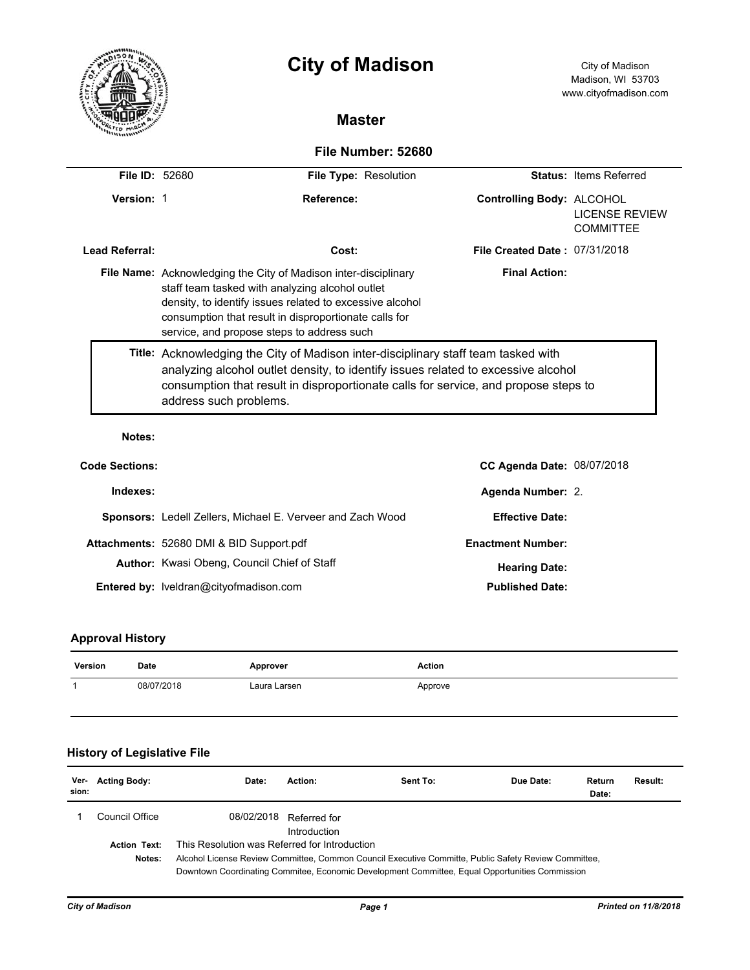|                       | <b>City of Madison</b>                                                                                                                                                                                                                                                                   | City of Madison<br>Madison, WI 53703<br>www.cityofmadison.com          |  |  |  |  |
|-----------------------|------------------------------------------------------------------------------------------------------------------------------------------------------------------------------------------------------------------------------------------------------------------------------------------|------------------------------------------------------------------------|--|--|--|--|
|                       | <b>Master</b>                                                                                                                                                                                                                                                                            |                                                                        |  |  |  |  |
|                       | File Number: 52680                                                                                                                                                                                                                                                                       |                                                                        |  |  |  |  |
| <b>File ID: 52680</b> | File Type: Resolution                                                                                                                                                                                                                                                                    | <b>Status: Items Referred</b>                                          |  |  |  |  |
| Version: 1            | Reference:                                                                                                                                                                                                                                                                               | Controlling Body: ALCOHOL<br><b>LICENSE REVIEW</b><br><b>COMMITTEE</b> |  |  |  |  |
| <b>Lead Referral:</b> | Cost:                                                                                                                                                                                                                                                                                    | File Created Date: 07/31/2018                                          |  |  |  |  |
|                       | File Name: Acknowledging the City of Madison inter-disciplinary<br>staff team tasked with analyzing alcohol outlet<br>density, to identify issues related to excessive alcohol<br>consumption that result in disproportionate calls for<br>service, and propose steps to address such    | <b>Final Action:</b>                                                   |  |  |  |  |
|                       | Title: Acknowledging the City of Madison inter-disciplinary staff team tasked with<br>analyzing alcohol outlet density, to identify issues related to excessive alcohol<br>consumption that result in disproportionate calls for service, and propose steps to<br>address such problems. |                                                                        |  |  |  |  |
| Notes:                |                                                                                                                                                                                                                                                                                          |                                                                        |  |  |  |  |
| <b>Code Sections:</b> |                                                                                                                                                                                                                                                                                          | CC Agenda Date: 08/07/2018                                             |  |  |  |  |
| Indexes:              |                                                                                                                                                                                                                                                                                          | Agenda Number: 2.                                                      |  |  |  |  |
|                       | Sponsors: Ledell Zellers, Michael E. Verveer and Zach Wood                                                                                                                                                                                                                               | <b>Effective Date:</b>                                                 |  |  |  |  |
|                       | Attachments: 52680 DMI & BID Support.pdf                                                                                                                                                                                                                                                 | <b>Enactment Number:</b>                                               |  |  |  |  |

Author: Kwasi Obeng, Council Chief of Staff **Author: Author: Kwasi Obeng, Council Chief of Staff** Entered by: lveldran@cityofmadison.com **Published Date: Published Date:** 

## **Approval History**

| Version | Date       | Approver     | Action  |
|---------|------------|--------------|---------|
|         | 08/07/2018 | Laura Larsen | Approve |

# **History of Legislative File**

| Ver-<br>sion: | <b>Acting Body:</b> | Date:                                                                                                | Action:                      | Sent To: | Due Date: | Return<br>Date: | <b>Result:</b> |
|---------------|---------------------|------------------------------------------------------------------------------------------------------|------------------------------|----------|-----------|-----------------|----------------|
|               | Council Office.     | 08/02/2018                                                                                           | Referred for<br>Introduction |          |           |                 |                |
|               | <b>Action Text:</b> | This Resolution was Referred for Introduction                                                        |                              |          |           |                 |                |
|               | Notes:              | Alcohol License Review Committee, Common Council Executive Committe, Public Safety Review Committee, |                              |          |           |                 |                |
|               |                     | Downtown Coordinating Commitee, Economic Development Committee, Equal Opportunities Commission       |                              |          |           |                 |                |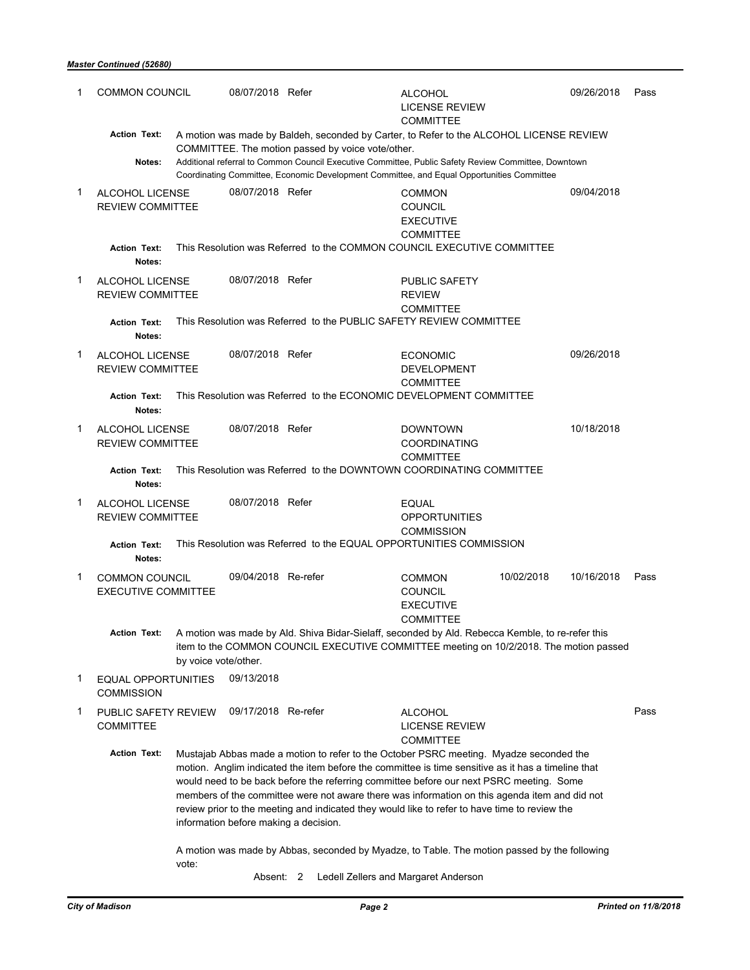#### *Master Continued (52680)*

| 1           | <b>COMMON COUNCIL</b>                               |                                                                                                                                                                                                                                                       | 08/07/2018 Refer    |                                                                                                                                                                                                                                                                                                                                                                                                                                                                                                                                                                                                                                    | <b>ALCOHOL</b><br><b>LICENSE REVIEW</b><br><b>COMMITTEE</b>                             |            | 09/26/2018 | Pass |
|-------------|-----------------------------------------------------|-------------------------------------------------------------------------------------------------------------------------------------------------------------------------------------------------------------------------------------------------------|---------------------|------------------------------------------------------------------------------------------------------------------------------------------------------------------------------------------------------------------------------------------------------------------------------------------------------------------------------------------------------------------------------------------------------------------------------------------------------------------------------------------------------------------------------------------------------------------------------------------------------------------------------------|-----------------------------------------------------------------------------------------|------------|------------|------|
|             | <b>Action Text:</b>                                 |                                                                                                                                                                                                                                                       |                     |                                                                                                                                                                                                                                                                                                                                                                                                                                                                                                                                                                                                                                    | A motion was made by Baldeh, seconded by Carter, to Refer to the ALCOHOL LICENSE REVIEW |            |            |      |
|             | Notes:                                              | COMMITTEE. The motion passed by voice vote/other.<br>Additional referral to Common Council Executive Committee, Public Safety Review Committee, Downtown<br>Coordinating Committee, Economic Development Committee, and Equal Opportunities Committee |                     |                                                                                                                                                                                                                                                                                                                                                                                                                                                                                                                                                                                                                                    |                                                                                         |            |            |      |
| $\mathbf 1$ | <b>ALCOHOL LICENSE</b><br><b>REVIEW COMMITTEE</b>   |                                                                                                                                                                                                                                                       | 08/07/2018 Refer    |                                                                                                                                                                                                                                                                                                                                                                                                                                                                                                                                                                                                                                    | <b>COMMON</b><br><b>COUNCIL</b><br><b>EXECUTIVE</b><br><b>COMMITTEE</b>                 |            | 09/04/2018 |      |
|             | <b>Action Text:</b><br>Notes:                       |                                                                                                                                                                                                                                                       |                     | This Resolution was Referred to the COMMON COUNCIL EXECUTIVE COMMITTEE                                                                                                                                                                                                                                                                                                                                                                                                                                                                                                                                                             |                                                                                         |            |            |      |
| 1           | ALCOHOL LICENSE<br><b>REVIEW COMMITTEE</b>          |                                                                                                                                                                                                                                                       | 08/07/2018 Refer    |                                                                                                                                                                                                                                                                                                                                                                                                                                                                                                                                                                                                                                    | PUBLIC SAFETY<br><b>REVIEW</b><br><b>COMMITTEE</b>                                      |            |            |      |
|             | <b>Action Text:</b><br>Notes:                       |                                                                                                                                                                                                                                                       |                     | This Resolution was Referred to the PUBLIC SAFETY REVIEW COMMITTEE                                                                                                                                                                                                                                                                                                                                                                                                                                                                                                                                                                 |                                                                                         |            |            |      |
| 1           | ALCOHOL LICENSE<br><b>REVIEW COMMITTEE</b>          |                                                                                                                                                                                                                                                       | 08/07/2018 Refer    |                                                                                                                                                                                                                                                                                                                                                                                                                                                                                                                                                                                                                                    | <b>ECONOMIC</b><br><b>DEVELOPMENT</b><br><b>COMMITTEE</b>                               |            | 09/26/2018 |      |
|             | <b>Action Text:</b><br>Notes:                       |                                                                                                                                                                                                                                                       |                     | This Resolution was Referred to the ECONOMIC DEVELOPMENT COMMITTEE                                                                                                                                                                                                                                                                                                                                                                                                                                                                                                                                                                 |                                                                                         |            |            |      |
| 1           | ALCOHOL LICENSE<br><b>REVIEW COMMITTEE</b>          |                                                                                                                                                                                                                                                       | 08/07/2018 Refer    |                                                                                                                                                                                                                                                                                                                                                                                                                                                                                                                                                                                                                                    | <b>DOWNTOWN</b><br><b>COORDINATING</b><br><b>COMMITTEE</b>                              |            | 10/18/2018 |      |
|             | <b>Action Text:</b><br>Notes:                       |                                                                                                                                                                                                                                                       |                     | This Resolution was Referred to the DOWNTOWN COORDINATING COMMITTEE                                                                                                                                                                                                                                                                                                                                                                                                                                                                                                                                                                |                                                                                         |            |            |      |
| 1           | ALCOHOL LICENSE<br><b>REVIEW COMMITTEE</b>          |                                                                                                                                                                                                                                                       | 08/07/2018 Refer    |                                                                                                                                                                                                                                                                                                                                                                                                                                                                                                                                                                                                                                    | <b>EQUAL</b><br><b>OPPORTUNITIES</b><br><b>COMMISSION</b>                               |            |            |      |
|             | <b>Action Text:</b><br>Notes:                       |                                                                                                                                                                                                                                                       |                     | This Resolution was Referred to the EQUAL OPPORTUNITIES COMMISSION                                                                                                                                                                                                                                                                                                                                                                                                                                                                                                                                                                 |                                                                                         |            |            |      |
| 1           | <b>COMMON COUNCIL</b><br><b>EXECUTIVE COMMITTEE</b> |                                                                                                                                                                                                                                                       | 09/04/2018 Re-refer |                                                                                                                                                                                                                                                                                                                                                                                                                                                                                                                                                                                                                                    | <b>COMMON</b><br><b>COUNCIL</b><br><b>EXECUTIVE</b><br><b>COMMITTEE</b>                 | 10/02/2018 | 10/16/2018 | Pass |
|             | <b>Action Text:</b>                                 | by voice vote/other.                                                                                                                                                                                                                                  |                     | A motion was made by Ald. Shiva Bidar-Sielaff, seconded by Ald. Rebecca Kemble, to re-refer this<br>item to the COMMON COUNCIL EXECUTIVE COMMITTEE meeting on 10/2/2018. The motion passed                                                                                                                                                                                                                                                                                                                                                                                                                                         |                                                                                         |            |            |      |
| 1           | EQUAL OPPORTUNITIES<br><b>COMMISSION</b>            |                                                                                                                                                                                                                                                       | 09/13/2018          |                                                                                                                                                                                                                                                                                                                                                                                                                                                                                                                                                                                                                                    |                                                                                         |            |            |      |
| 1           | PUBLIC SAFETY REVIEW<br><b>COMMITTEE</b>            |                                                                                                                                                                                                                                                       | 09/17/2018 Re-refer |                                                                                                                                                                                                                                                                                                                                                                                                                                                                                                                                                                                                                                    | <b>ALCOHOL</b><br>LICENSE REVIEW<br><b>COMMITTEE</b>                                    |            |            | Pass |
|             | <b>Action Text:</b>                                 | vote:                                                                                                                                                                                                                                                 |                     | Mustajab Abbas made a motion to refer to the October PSRC meeting. Myadze seconded the<br>motion. Anglim indicated the item before the committee is time sensitive as it has a timeline that<br>would need to be back before the referring committee before our next PSRC meeting. Some<br>members of the committee were not aware there was information on this agenda item and did not<br>review prior to the meeting and indicated they would like to refer to have time to review the<br>information before making a decision.<br>A motion was made by Abbas, seconded by Myadze, to Table. The motion passed by the following |                                                                                         |            |            |      |

Absent: 2 Ledell Zellers and Margaret Anderson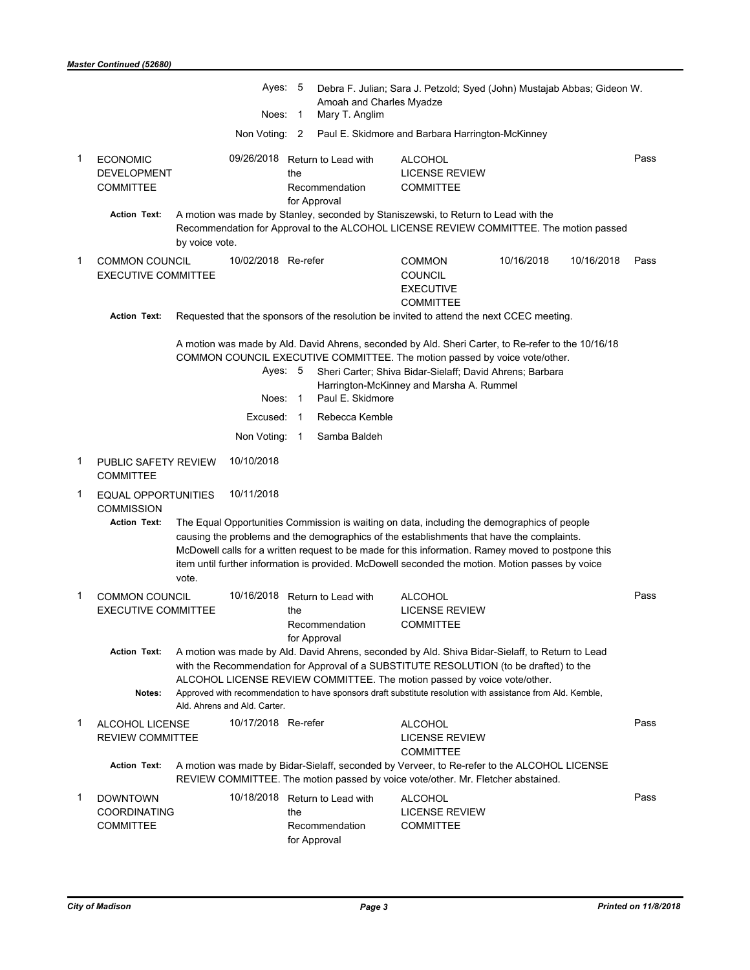|   |                                                           |                                                                                                                                                                                                                                                                                                                                                                                                                      | Ayes: 5<br>Noes: 1 | Amoah and Charles Myadze<br>Mary T. Anglim                                                                                                                                                                                                                                                                   | Debra F. Julian; Sara J. Petzold; Syed (John) Mustajab Abbas; Gideon W. |            |            |      |
|---|-----------------------------------------------------------|----------------------------------------------------------------------------------------------------------------------------------------------------------------------------------------------------------------------------------------------------------------------------------------------------------------------------------------------------------------------------------------------------------------------|--------------------|--------------------------------------------------------------------------------------------------------------------------------------------------------------------------------------------------------------------------------------------------------------------------------------------------------------|-------------------------------------------------------------------------|------------|------------|------|
|   |                                                           | Non Voting: 2                                                                                                                                                                                                                                                                                                                                                                                                        |                    |                                                                                                                                                                                                                                                                                                              | Paul E. Skidmore and Barbara Harrington-McKinney                        |            |            |      |
| 1 | <b>ECONOMIC</b><br><b>DEVELOPMENT</b><br><b>COMMITTEE</b> |                                                                                                                                                                                                                                                                                                                                                                                                                      | the                | 09/26/2018 Return to Lead with<br>Recommendation<br>for Approval                                                                                                                                                                                                                                             | <b>ALCOHOL</b><br><b>LICENSE REVIEW</b><br><b>COMMITTEE</b>             |            |            | Pass |
|   | <b>Action Text:</b>                                       | A motion was made by Stanley, seconded by Staniszewski, to Return to Lead with the<br>Recommendation for Approval to the ALCOHOL LICENSE REVIEW COMMITTEE. The motion passed<br>by voice vote.                                                                                                                                                                                                                       |                    |                                                                                                                                                                                                                                                                                                              |                                                                         |            |            |      |
| 1 | <b>COMMON COUNCIL</b><br><b>EXECUTIVE COMMITTEE</b>       | 10/02/2018 Re-refer                                                                                                                                                                                                                                                                                                                                                                                                  |                    |                                                                                                                                                                                                                                                                                                              | <b>COMMON</b><br><b>COUNCIL</b><br><b>EXECUTIVE</b><br><b>COMMITTEE</b> | 10/16/2018 | 10/16/2018 | Pass |
|   | <b>Action Text:</b>                                       | Requested that the sponsors of the resolution be invited to attend the next CCEC meeting.                                                                                                                                                                                                                                                                                                                            |                    |                                                                                                                                                                                                                                                                                                              |                                                                         |            |            |      |
|   |                                                           |                                                                                                                                                                                                                                                                                                                                                                                                                      | Ayes: 5<br>Noes: 1 | A motion was made by Ald. David Ahrens, seconded by Ald. Sheri Carter, to Re-refer to the 10/16/18<br>COMMON COUNCIL EXECUTIVE COMMITTEE. The motion passed by voice vote/other.<br>Sheri Carter; Shiva Bidar-Sielaff; David Ahrens; Barbara<br>Harrington-McKinney and Marsha A. Rummel<br>Paul E. Skidmore |                                                                         |            |            |      |
|   |                                                           | Excused: 1                                                                                                                                                                                                                                                                                                                                                                                                           |                    | Rebecca Kemble                                                                                                                                                                                                                                                                                               |                                                                         |            |            |      |
|   |                                                           | Non Voting: 1                                                                                                                                                                                                                                                                                                                                                                                                        |                    | Samba Baldeh                                                                                                                                                                                                                                                                                                 |                                                                         |            |            |      |
| 1 | PUBLIC SAFETY REVIEW<br><b>COMMITTEE</b>                  | 10/10/2018                                                                                                                                                                                                                                                                                                                                                                                                           |                    |                                                                                                                                                                                                                                                                                                              |                                                                         |            |            |      |
| 1 | EQUAL OPPORTUNITIES<br><b>COMMISSION</b>                  | 10/11/2018                                                                                                                                                                                                                                                                                                                                                                                                           |                    |                                                                                                                                                                                                                                                                                                              |                                                                         |            |            |      |
|   | <b>Action Text:</b>                                       | The Equal Opportunities Commission is waiting on data, including the demographics of people<br>causing the problems and the demographics of the establishments that have the complaints.<br>McDowell calls for a written request to be made for this information. Ramey moved to postpone this<br>item until further information is provided. McDowell seconded the motion. Motion passes by voice<br>vote.          |                    |                                                                                                                                                                                                                                                                                                              |                                                                         |            |            |      |
| 1 | <b>COMMON COUNCIL</b><br><b>EXECUTIVE COMMITTEE</b>       |                                                                                                                                                                                                                                                                                                                                                                                                                      | the                | 10/16/2018 Return to Lead with<br>Recommendation<br>for Approval                                                                                                                                                                                                                                             | <b>ALCOHOL</b><br><b>LICENSE REVIEW</b><br>COMMITTEE                    |            |            | Pass |
|   | <b>Action Text:</b><br>Notes:                             | A motion was made by Ald. David Ahrens, seconded by Ald. Shiva Bidar-Sielaff, to Return to Lead<br>with the Recommendation for Approval of a SUBSTITUTE RESOLUTION (to be drafted) to the<br>ALCOHOL LICENSE REVIEW COMMITTEE. The motion passed by voice vote/other.<br>Approved with recommendation to have sponsors draft substitute resolution with assistance from Ald. Kemble,<br>Ald. Ahrens and Ald. Carter. |                    |                                                                                                                                                                                                                                                                                                              |                                                                         |            |            |      |
| 1 | <b>ALCOHOL LICENSE</b><br><b>REVIEW COMMITTEE</b>         | 10/17/2018 Re-refer                                                                                                                                                                                                                                                                                                                                                                                                  |                    |                                                                                                                                                                                                                                                                                                              | <b>ALCOHOL</b><br><b>LICENSE REVIEW</b><br><b>COMMITTEE</b>             |            |            | Pass |
|   | <b>Action Text:</b>                                       | A motion was made by Bidar-Sielaff, seconded by Verveer, to Re-refer to the ALCOHOL LICENSE<br>REVIEW COMMITTEE. The motion passed by voice vote/other. Mr. Fletcher abstained.                                                                                                                                                                                                                                      |                    |                                                                                                                                                                                                                                                                                                              |                                                                         |            |            |      |
| 1 | <b>DOWNTOWN</b><br>COORDINATING<br><b>COMMITTEE</b>       |                                                                                                                                                                                                                                                                                                                                                                                                                      | the                | 10/18/2018 Return to Lead with<br>Recommendation<br>for Approval                                                                                                                                                                                                                                             | <b>ALCOHOL</b><br><b>LICENSE REVIEW</b><br><b>COMMITTEE</b>             |            |            | Pass |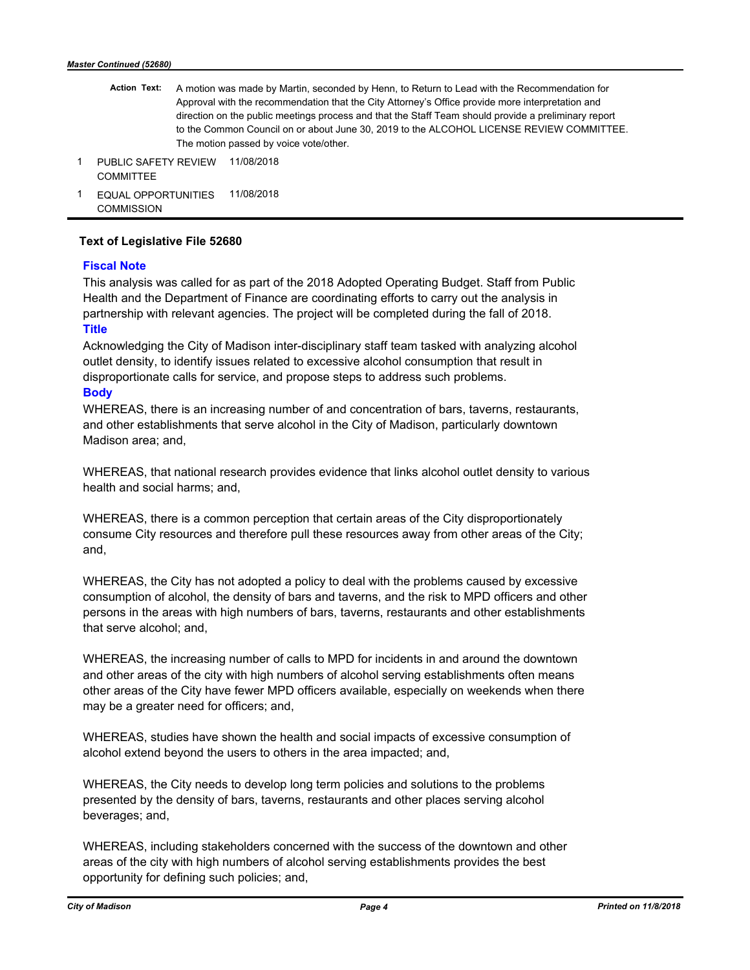- A motion was made by Martin, seconded by Henn, to Return to Lead with the Recommendation for Approval with the recommendation that the City Attorney's Office provide more interpretation and direction on the public meetings process and that the Staff Team should provide a preliminary report to the Common Council on or about June 30, 2019 to the ALCOHOL LICENSE REVIEW COMMITTEE. The motion passed by voice vote/other.  **Action Text:**
- 1 PUBLIC SAFETY REVIEW 11/08/2018 **COMMITTEE**
- 1 EQUAL OPPORTUNITIES 11/08/2018 **COMMISSION**

### **Text of Legislative File 52680**

### **Fiscal Note**

This analysis was called for as part of the 2018 Adopted Operating Budget. Staff from Public Health and the Department of Finance are coordinating efforts to carry out the analysis in partnership with relevant agencies. The project will be completed during the fall of 2018. **Title**

Acknowledging the City of Madison inter-disciplinary staff team tasked with analyzing alcohol outlet density, to identify issues related to excessive alcohol consumption that result in disproportionate calls for service, and propose steps to address such problems.

### **Body**

WHEREAS, there is an increasing number of and concentration of bars, taverns, restaurants, and other establishments that serve alcohol in the City of Madison, particularly downtown Madison area; and,

WHEREAS, that national research provides evidence that links alcohol outlet density to various health and social harms; and,

WHEREAS, there is a common perception that certain areas of the City disproportionately consume City resources and therefore pull these resources away from other areas of the City; and,

WHEREAS, the City has not adopted a policy to deal with the problems caused by excessive consumption of alcohol, the density of bars and taverns, and the risk to MPD officers and other persons in the areas with high numbers of bars, taverns, restaurants and other establishments that serve alcohol; and,

WHEREAS, the increasing number of calls to MPD for incidents in and around the downtown and other areas of the city with high numbers of alcohol serving establishments often means other areas of the City have fewer MPD officers available, especially on weekends when there may be a greater need for officers; and,

WHEREAS, studies have shown the health and social impacts of excessive consumption of alcohol extend beyond the users to others in the area impacted; and,

WHEREAS, the City needs to develop long term policies and solutions to the problems presented by the density of bars, taverns, restaurants and other places serving alcohol beverages; and,

WHEREAS, including stakeholders concerned with the success of the downtown and other areas of the city with high numbers of alcohol serving establishments provides the best opportunity for defining such policies; and,